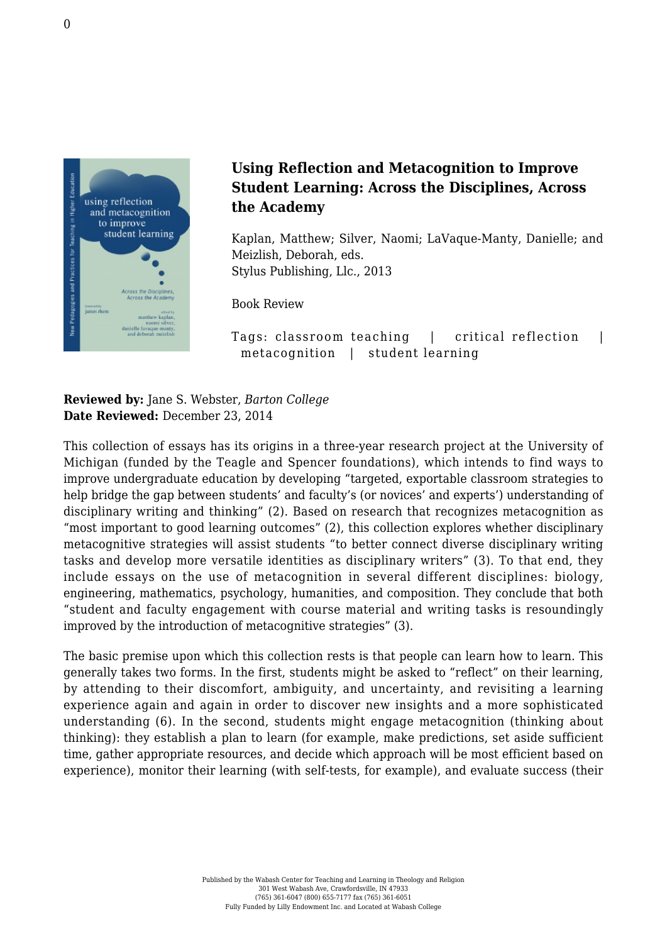

## **Using Reflection and Metacognition to Improve Student Learning: Across the Disciplines, Across the Academy**

Kaplan, Matthew; Silver, Naomi; LaVaque-Manty, Danielle; and Meizlish, Deborah, eds. [Stylus Publishing, Llc., 2013](http://stylus.styluspub.com/Books/BookDetail.aspx?productID=298776)

Book Review

Tags: classroom teaching | critical reflection | metacognition | student learning

**Reviewed by:** Jane S. Webster, *Barton College* **Date Reviewed:** December 23, 2014

This collection of essays has its origins in a three-year research project at the University of Michigan (funded by the Teagle and Spencer foundations), which intends to find ways to improve undergraduate education by developing "targeted, exportable classroom strategies to help bridge the gap between students' and faculty's (or novices' and experts') understanding of disciplinary writing and thinking" (2). Based on research that recognizes metacognition as "most important to good learning outcomes" (2), this collection explores whether disciplinary metacognitive strategies will assist students "to better connect diverse disciplinary writing tasks and develop more versatile identities as disciplinary writers" (3). To that end, they include essays on the use of metacognition in several different disciplines: biology, engineering, mathematics, psychology, humanities, and composition. They conclude that both "student and faculty engagement with course material and writing tasks is resoundingly improved by the introduction of metacognitive strategies" (3).

The basic premise upon which this collection rests is that people can learn how to learn. This generally takes two forms. In the first, students might be asked to "reflect" on their learning, by attending to their discomfort, ambiguity, and uncertainty, and revisiting a learning experience again and again in order to discover new insights and a more sophisticated understanding (6). In the second, students might engage metacognition (thinking about thinking): they establish a plan to learn (for example, make predictions, set aside sufficient time, gather appropriate resources, and decide which approach will be most efficient based on experience), monitor their learning (with self-tests, for example), and evaluate success (their